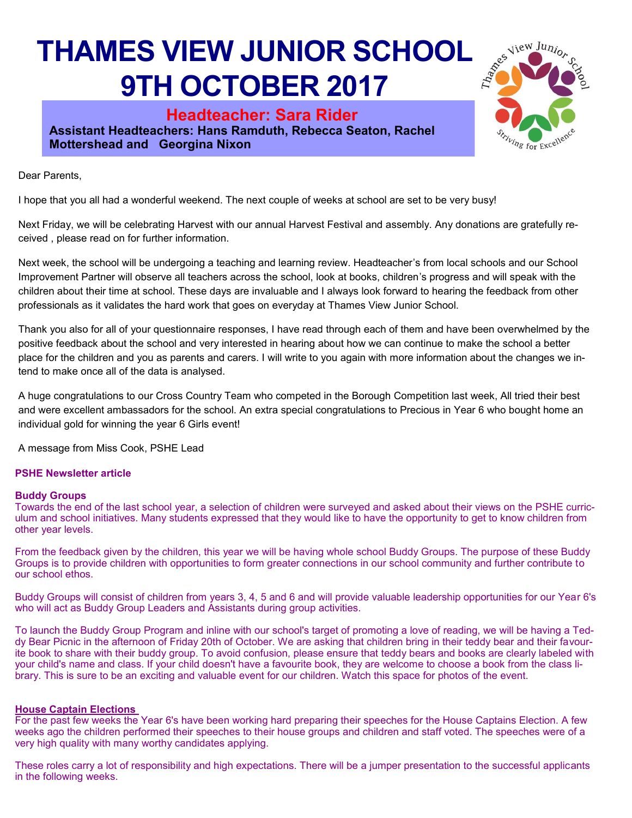## **THAMES VIEW JUNIOR SCHOOL 9TH OCTOBER 2017**

**Headteacher: Sara Rider Assistant Headteachers: Hans Ramduth, Rebecca Seaton, Rachel Mottershead and Georgina Nixon** 



Dear Parents,

I hope that you all had a wonderful weekend. The next couple of weeks at school are set to be very busy!

Next Friday, we will be celebrating Harvest with our annual Harvest Festival and assembly. Any donations are gratefully received , please read on for further information.

Next week, the school will be undergoing a teaching and learning review. Headteacher's from local schools and our School Improvement Partner will observe all teachers across the school, look at books, children's progress and will speak with the children about their time at school. These days are invaluable and I always look forward to hearing the feedback from other professionals as it validates the hard work that goes on everyday at Thames View Junior School.

Thank you also for all of your questionnaire responses, I have read through each of them and have been overwhelmed by the positive feedback about the school and very interested in hearing about how we can continue to make the school a better place for the children and you as parents and carers. I will write to you again with more information about the changes we intend to make once all of the data is analysed.

A huge congratulations to our Cross Country Team who competed in the Borough Competition last week, All tried their best and were excellent ambassadors for the school. An extra special congratulations to Precious in Year 6 who bought home an individual gold for winning the year 6 Girls event!

A message from Miss Cook, PSHE Lead

### **PSHE Newsletter article**

### **Buddy Groups**

Towards the end of the last school year, a selection of children were surveyed and asked about their views on the PSHE curriculum and school initiatives. Many students expressed that they would like to have the opportunity to get to know children from other year levels.

From the feedback given by the children, this year we will be having whole school Buddy Groups. The purpose of these Buddy Groups is to provide children with opportunities to form greater connections in our school community and further contribute to our school ethos.

Buddy Groups will consist of children from years 3, 4, 5 and 6 and will provide valuable leadership opportunities for our Year 6's who will act as Buddy Group Leaders and Assistants during group activities.

To launch the Buddy Group Program and inline with our school's target of promoting a love of reading, we will be having a Teddy Bear Picnic in the afternoon of Friday 20th of October. We are asking that children bring in their teddy bear and their favourite book to share with their buddy group. To avoid confusion, please ensure that teddy bears and books are clearly labeled with your child's name and class. If your child doesn't have a favourite book, they are welcome to choose a book from the class library. This is sure to be an exciting and valuable event for our children. Watch this space for photos of the event.

### **House Captain Elections**

For the past few weeks the Year 6's have been working hard preparing their speeches for the House Captains Election. A few weeks ago the children performed their speeches to their house groups and children and staff voted. The speeches were of a very high quality with many worthy candidates applying.

These roles carry a lot of responsibility and high expectations. There will be a jumper presentation to the successful applicants in the following weeks.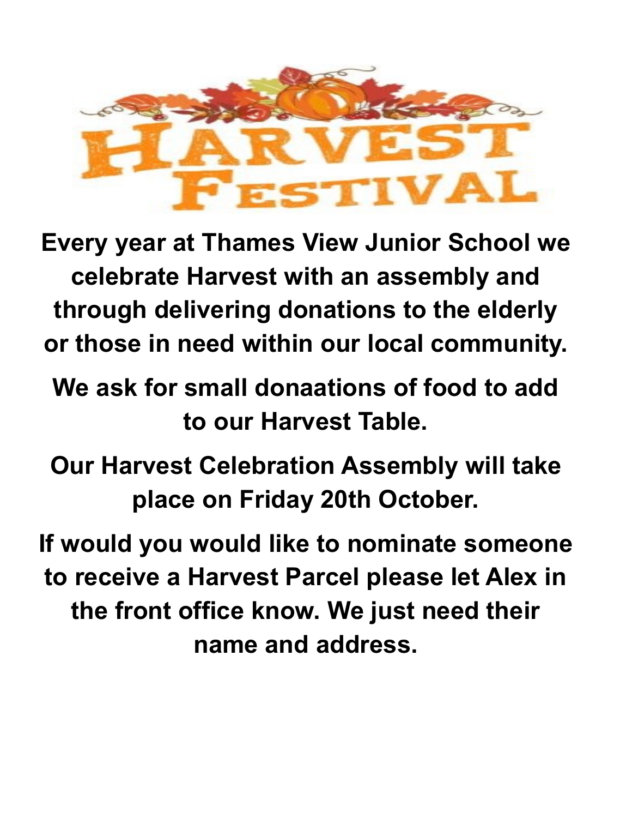

**Every year at Thames View Junior School we celebrate Harvest with an assembly and through delivering donations to the elderly or those in need within our local community.** 

**We ask for small donaations of food to add to our Harvest Table.** 

**Our Harvest Celebration Assembly will take place on Friday 20th October.** 

**If would you would like to nominate someone to receive a Harvest Parcel please let Alex in the front office know. We just need their name and address.**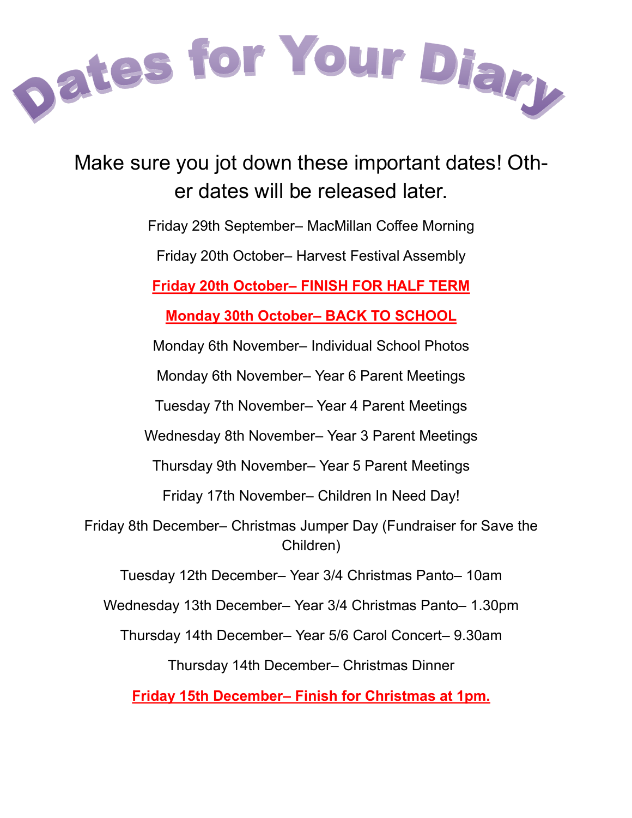

Make sure you jot down these important dates! Other dates will be released later.

Friday 29th September– MacMillan Coffee Morning

Friday 20th October– Harvest Festival Assembly

**Friday 20th October– FINISH FOR HALF TERM**

**Monday 30th October– BACK TO SCHOOL**

Monday 6th November– Individual School Photos

Monday 6th November– Year 6 Parent Meetings

Tuesday 7th November– Year 4 Parent Meetings

Wednesday 8th November– Year 3 Parent Meetings

Thursday 9th November– Year 5 Parent Meetings

Friday 17th November– Children In Need Day!

Friday 8th December– Christmas Jumper Day (Fundraiser for Save the Children)

Tuesday 12th December– Year 3/4 Christmas Panto– 10am

Wednesday 13th December– Year 3/4 Christmas Panto– 1.30pm

Thursday 14th December– Year 5/6 Carol Concert– 9.30am

Thursday 14th December– Christmas Dinner

**Friday 15th December– Finish for Christmas at 1pm.**